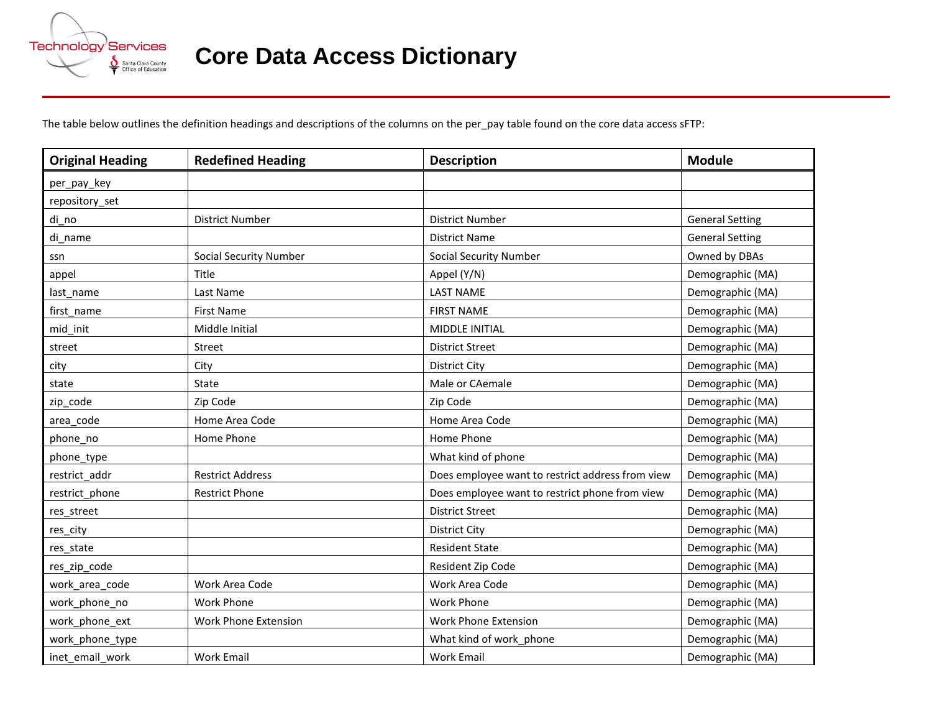

The table below outlines the definition headings and descriptions of the columns on the per\_pay table found on the core data access sFTP:

| <b>Original Heading</b> | <b>Redefined Heading</b>      | <b>Description</b>                               | <b>Module</b>          |
|-------------------------|-------------------------------|--------------------------------------------------|------------------------|
| per_pay_key             |                               |                                                  |                        |
| repository_set          |                               |                                                  |                        |
| di no                   | <b>District Number</b>        | <b>District Number</b>                           | <b>General Setting</b> |
| di name                 |                               | <b>District Name</b>                             | <b>General Setting</b> |
| ssn                     | <b>Social Security Number</b> | <b>Social Security Number</b>                    | Owned by DBAs          |
| appel                   | Title                         | Appel (Y/N)                                      | Demographic (MA)       |
| last name               | Last Name                     | <b>LAST NAME</b>                                 | Demographic (MA)       |
| first name              | <b>First Name</b>             | <b>FIRST NAME</b>                                | Demographic (MA)       |
| mid_init                | Middle Initial                | <b>MIDDLE INITIAL</b>                            | Demographic (MA)       |
| street                  | Street                        | <b>District Street</b>                           | Demographic (MA)       |
| city                    | City                          | <b>District City</b>                             | Demographic (MA)       |
| state                   | <b>State</b>                  | Male or CAemale                                  | Demographic (MA)       |
| zip_code                | Zip Code                      | Zip Code                                         | Demographic (MA)       |
| area code               | Home Area Code                | Home Area Code                                   | Demographic (MA)       |
| phone no                | Home Phone                    | Home Phone                                       | Demographic (MA)       |
| phone_type              |                               | What kind of phone                               | Demographic (MA)       |
| restrict addr           | <b>Restrict Address</b>       | Does employee want to restrict address from view | Demographic (MA)       |
| restrict_phone          | <b>Restrict Phone</b>         | Does employee want to restrict phone from view   | Demographic (MA)       |
| res street              |                               | <b>District Street</b>                           | Demographic (MA)       |
| res_city                |                               | <b>District City</b>                             | Demographic (MA)       |
| res_state               |                               | <b>Resident State</b>                            | Demographic (MA)       |
| res_zip_code            |                               | Resident Zip Code                                | Demographic (MA)       |
| work area code          | Work Area Code                | Work Area Code                                   | Demographic (MA)       |
| work_phone_no           | <b>Work Phone</b>             | <b>Work Phone</b>                                | Demographic (MA)       |
| work_phone_ext          | <b>Work Phone Extension</b>   | <b>Work Phone Extension</b>                      | Demographic (MA)       |
| work_phone_type         |                               | What kind of work_phone                          | Demographic (MA)       |
| inet email work         | <b>Work Email</b>             | <b>Work Email</b>                                | Demographic (MA)       |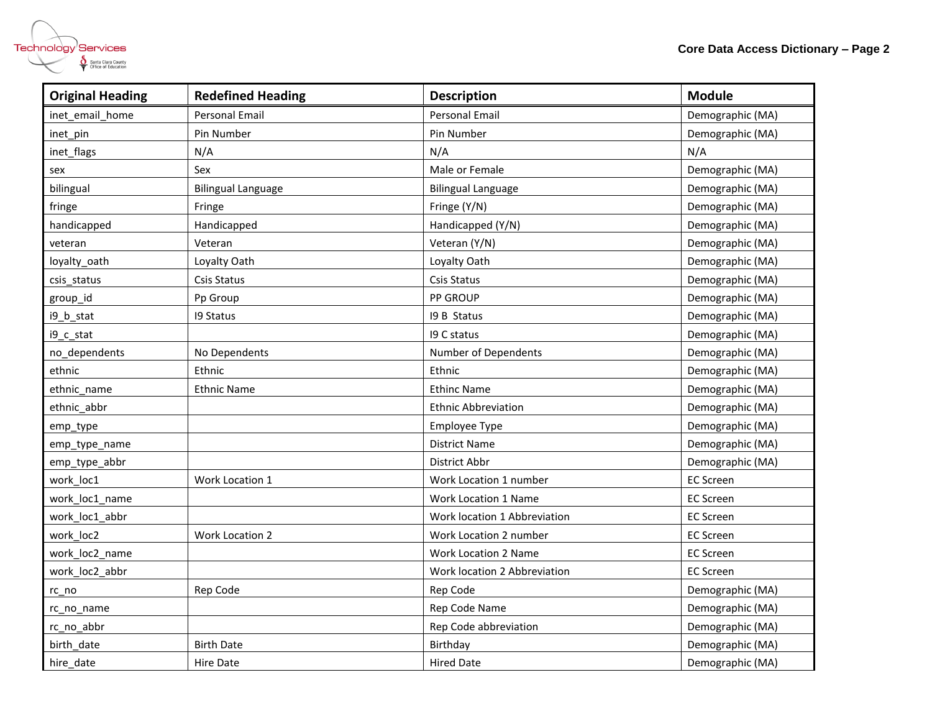



| <b>Original Heading</b> | <b>Redefined Heading</b>  | <b>Description</b>                  | <b>Module</b>    |
|-------------------------|---------------------------|-------------------------------------|------------------|
| inet email home         | <b>Personal Email</b>     | <b>Personal Email</b>               | Demographic (MA) |
| inet pin                | Pin Number                | Pin Number                          | Demographic (MA) |
| inet_flags              | N/A                       | N/A                                 | N/A              |
| sex                     | Sex                       | Male or Female                      | Demographic (MA) |
| bilingual               | <b>Bilingual Language</b> | <b>Bilingual Language</b>           | Demographic (MA) |
| fringe                  | Fringe                    | Fringe (Y/N)                        | Demographic (MA) |
| handicapped             | Handicapped               | Handicapped (Y/N)                   | Demographic (MA) |
| veteran                 | Veteran                   | Veteran (Y/N)                       | Demographic (MA) |
| loyalty_oath            | Loyalty Oath              | Loyalty Oath                        | Demographic (MA) |
| csis_status             | <b>Csis Status</b>        | <b>Csis Status</b>                  | Demographic (MA) |
| group id                | Pp Group                  | <b>PP GROUP</b>                     | Demographic (MA) |
| i9_b_stat               | <b>19 Status</b>          | 19 B Status                         | Demographic (MA) |
| i9_c_stat               |                           | 19 C status                         | Demographic (MA) |
| no dependents           | No Dependents             | Number of Dependents                | Demographic (MA) |
| ethnic                  | Ethnic                    | Ethnic                              | Demographic (MA) |
| ethnic name             | <b>Ethnic Name</b>        | <b>Ethinc Name</b>                  | Demographic (MA) |
| ethnic abbr             |                           | <b>Ethnic Abbreviation</b>          | Demographic (MA) |
| emp_type                |                           | Employee Type                       | Demographic (MA) |
| emp_type_name           |                           | <b>District Name</b>                | Demographic (MA) |
| emp_type_abbr           |                           | <b>District Abbr</b>                | Demographic (MA) |
| work loc1               | Work Location 1           | Work Location 1 number              | <b>EC Screen</b> |
| work loc1 name          |                           | <b>Work Location 1 Name</b>         | <b>EC Screen</b> |
| work loc1 abbr          |                           | <b>Work location 1 Abbreviation</b> | <b>EC Screen</b> |
| work loc2               | <b>Work Location 2</b>    | Work Location 2 number              | <b>EC Screen</b> |
| work loc2 name          |                           | Work Location 2 Name                | <b>EC Screen</b> |
| work_loc2_abbr          |                           | Work location 2 Abbreviation        | <b>EC Screen</b> |
| rc no                   | Rep Code                  | Rep Code                            | Demographic (MA) |
| rc_no_name              |                           | Rep Code Name                       | Demographic (MA) |
| rc no abbr              |                           | Rep Code abbreviation               | Demographic (MA) |
| birth_date              | <b>Birth Date</b>         | Birthday                            | Demographic (MA) |
| hire_date               | Hire Date                 | <b>Hired Date</b>                   | Demographic (MA) |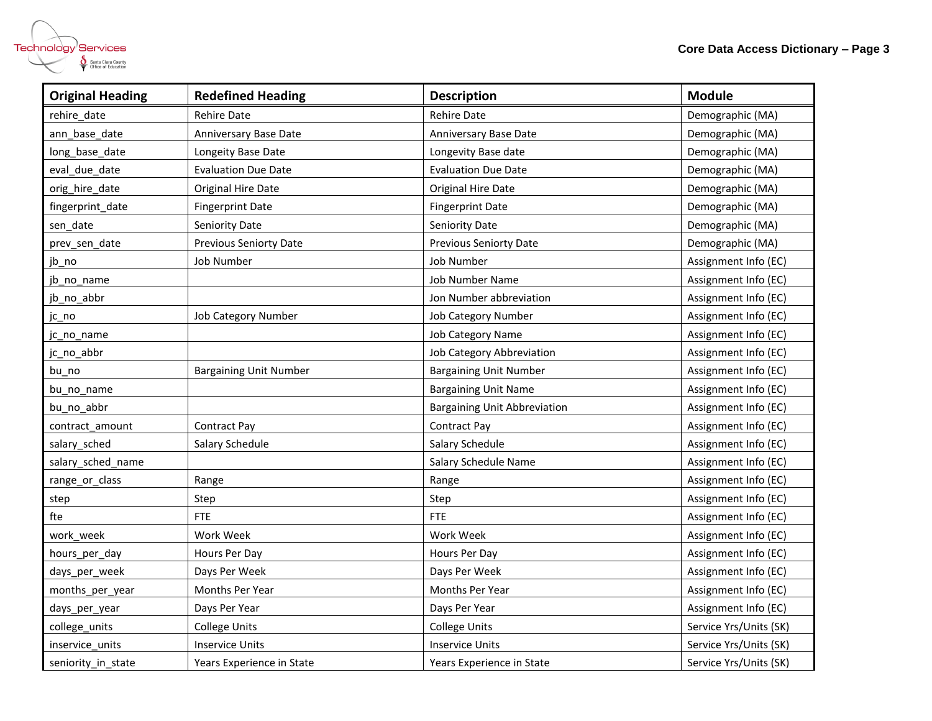



| <b>Original Heading</b> | <b>Redefined Heading</b>      | <b>Description</b>                  | <b>Module</b>          |
|-------------------------|-------------------------------|-------------------------------------|------------------------|
| rehire_date             | <b>Rehire Date</b>            | <b>Rehire Date</b>                  | Demographic (MA)       |
| ann base date           | Anniversary Base Date         | Anniversary Base Date               | Demographic (MA)       |
| long base date          | Longeity Base Date            | Longevity Base date                 | Demographic (MA)       |
| eval_due_date           | <b>Evaluation Due Date</b>    | <b>Evaluation Due Date</b>          | Demographic (MA)       |
| orig_hire_date          | Original Hire Date            | Original Hire Date                  | Demographic (MA)       |
| fingerprint_date        | <b>Fingerprint Date</b>       | <b>Fingerprint Date</b>             | Demographic (MA)       |
| sen_date                | Seniority Date                | Seniority Date                      | Demographic (MA)       |
| prev_sen_date           | Previous Seniorty Date        | <b>Previous Seniorty Date</b>       | Demographic (MA)       |
| jb_no                   | <b>Job Number</b>             | Job Number                          | Assignment Info (EC)   |
| jb_no_name              |                               | <b>Job Number Name</b>              | Assignment Info (EC)   |
| jb_no_abbr              |                               | Jon Number abbreviation             | Assignment Info (EC)   |
| jc_no                   | <b>Job Category Number</b>    | Job Category Number                 | Assignment Info (EC)   |
| jc no name              |                               | Job Category Name                   | Assignment Info (EC)   |
| jc_no_abbr              |                               | Job Category Abbreviation           | Assignment Info (EC)   |
| bu_no                   | <b>Bargaining Unit Number</b> | <b>Bargaining Unit Number</b>       | Assignment Info (EC)   |
| bu no name              |                               | <b>Bargaining Unit Name</b>         | Assignment Info (EC)   |
| bu no abbr              |                               | <b>Bargaining Unit Abbreviation</b> | Assignment Info (EC)   |
| contract_amount         | Contract Pay                  | <b>Contract Pay</b>                 | Assignment Info (EC)   |
| salary_sched            | Salary Schedule               | Salary Schedule                     | Assignment Info (EC)   |
| salary sched name       |                               | Salary Schedule Name                | Assignment Info (EC)   |
| range_or_class          | Range                         | Range                               | Assignment Info (EC)   |
| step                    | Step                          | Step                                | Assignment Info (EC)   |
| fte                     | <b>FTE</b>                    | <b>FTE</b>                          | Assignment Info (EC)   |
| work week               | Work Week                     | Work Week                           | Assignment Info (EC)   |
| hours_per_day           | Hours Per Day                 | Hours Per Day                       | Assignment Info (EC)   |
| days_per_week           | Days Per Week                 | Days Per Week                       | Assignment Info (EC)   |
| months_per_year         | Months Per Year               | Months Per Year                     | Assignment Info (EC)   |
| days_per_year           | Days Per Year                 | Days Per Year                       | Assignment Info (EC)   |
| college_units           | <b>College Units</b>          | <b>College Units</b>                | Service Yrs/Units (SK) |
| inservice_units         | <b>Inservice Units</b>        | <b>Inservice Units</b>              | Service Yrs/Units (SK) |
| seniority in state      | Years Experience in State     | Years Experience in State           | Service Yrs/Units (SK) |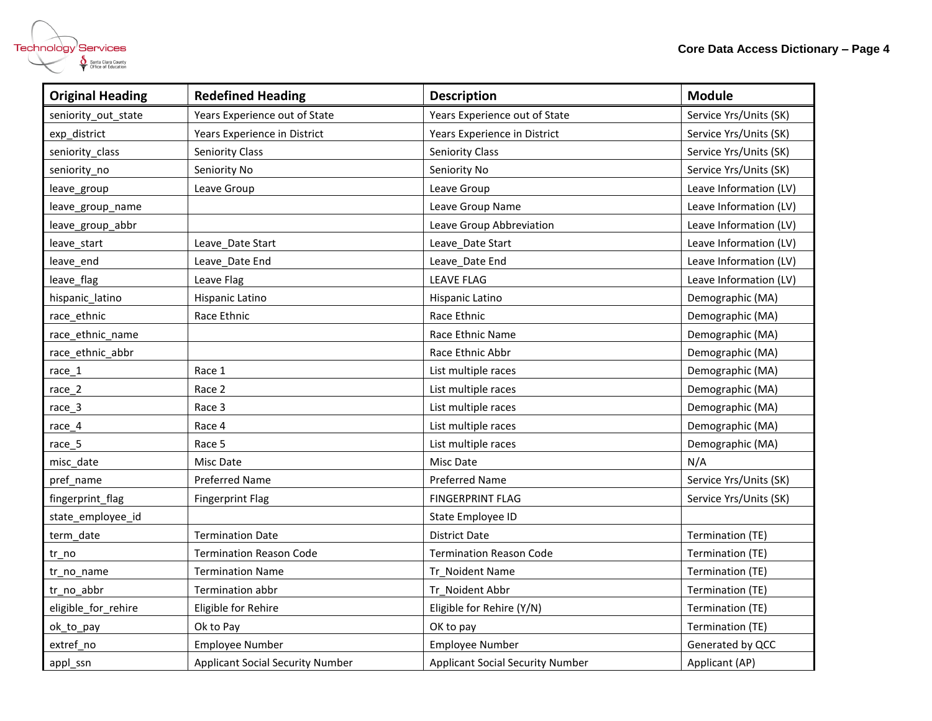



| <b>Original Heading</b> | <b>Redefined Heading</b>                | <b>Description</b>                      | <b>Module</b>          |
|-------------------------|-----------------------------------------|-----------------------------------------|------------------------|
| seniority out state     | Years Experience out of State           | Years Experience out of State           | Service Yrs/Units (SK) |
| exp_district            | Years Experience in District            | Years Experience in District            | Service Yrs/Units (SK) |
| seniority_class         | <b>Seniority Class</b>                  | <b>Seniority Class</b>                  | Service Yrs/Units (SK) |
| seniority_no            | Seniority No                            | Seniority No                            | Service Yrs/Units (SK) |
| leave_group             | Leave Group                             | Leave Group                             | Leave Information (LV) |
| leave_group_name        |                                         | Leave Group Name                        | Leave Information (LV) |
| leave group abbr        |                                         | Leave Group Abbreviation                | Leave Information (LV) |
| leave_start             | Leave_Date Start                        | Leave_Date Start                        | Leave Information (LV) |
| leave_end               | Leave Date End                          | Leave Date End                          | Leave Information (LV) |
| leave_flag              | Leave Flag                              | <b>LEAVE FLAG</b>                       | Leave Information (LV) |
| hispanic latino         | Hispanic Latino                         | Hispanic Latino                         | Demographic (MA)       |
| race_ethnic             | Race Ethnic                             | Race Ethnic                             | Demographic (MA)       |
| race_ethnic_name        |                                         | Race Ethnic Name                        | Demographic (MA)       |
| race ethnic abbr        |                                         | Race Ethnic Abbr                        | Demographic (MA)       |
| race 1                  | Race 1                                  | List multiple races                     | Demographic (MA)       |
| $race_2$                | Race 2                                  | List multiple races                     | Demographic (MA)       |
| race 3                  | Race 3                                  | List multiple races                     | Demographic (MA)       |
| race_4                  | Race 4                                  | List multiple races                     | Demographic (MA)       |
| race_5                  | Race 5                                  | List multiple races                     | Demographic (MA)       |
| misc_date               | Misc Date                               | Misc Date                               | N/A                    |
| pref_name               | <b>Preferred Name</b>                   | <b>Preferred Name</b>                   | Service Yrs/Units (SK) |
| fingerprint_flag        | <b>Fingerprint Flag</b>                 | <b>FINGERPRINT FLAG</b>                 | Service Yrs/Units (SK) |
| state employee id       |                                         | State Employee ID                       |                        |
| term_date               | <b>Termination Date</b>                 | <b>District Date</b>                    | Termination (TE)       |
| tr no                   | <b>Termination Reason Code</b>          | <b>Termination Reason Code</b>          | Termination (TE)       |
| tr no name              | <b>Termination Name</b>                 | Tr Noident Name                         | Termination (TE)       |
| tr no abbr              | Termination abbr                        | Tr Noident Abbr                         | Termination (TE)       |
| eligible_for_rehire     | Eligible for Rehire                     | Eligible for Rehire (Y/N)               | Termination (TE)       |
| ok_to_pay               | Ok to Pay                               | OK to pay                               | Termination (TE)       |
| extref no               | <b>Employee Number</b>                  | <b>Employee Number</b>                  | Generated by QCC       |
| appl ssn                | <b>Applicant Social Security Number</b> | <b>Applicant Social Security Number</b> | Applicant (AP)         |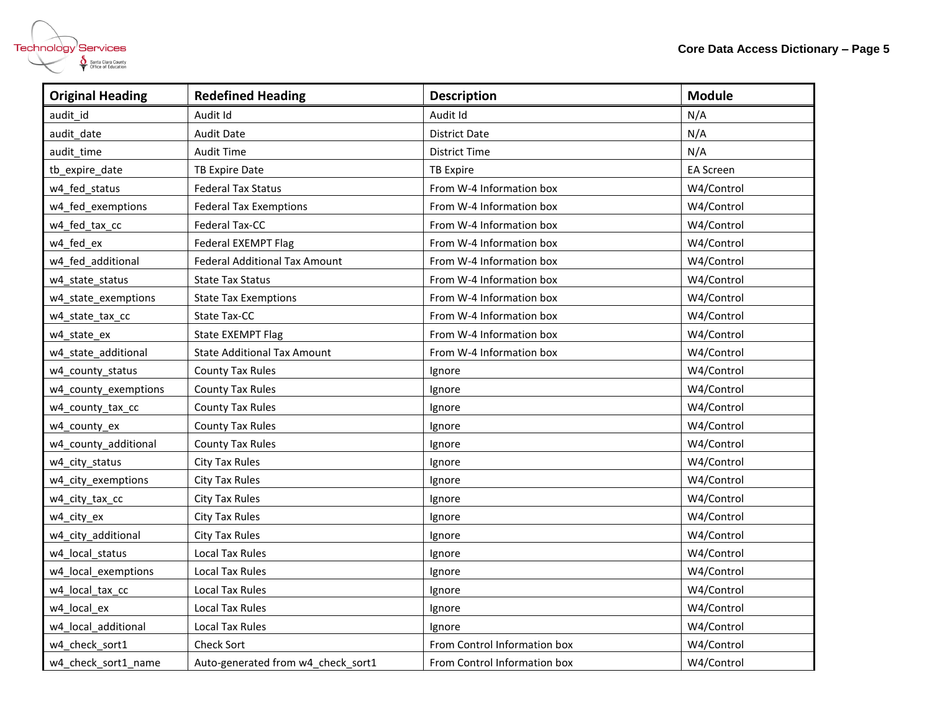



| <b>Original Heading</b> | <b>Redefined Heading</b>             | <b>Description</b>           | <b>Module</b>    |
|-------------------------|--------------------------------------|------------------------------|------------------|
| audit id                | Audit Id                             | Audit Id                     | N/A              |
| audit date              | <b>Audit Date</b>                    | <b>District Date</b>         | N/A              |
| audit_time              | <b>Audit Time</b>                    | District Time                | N/A              |
| tb_expire_date          | TB Expire Date                       | <b>TB Expire</b>             | <b>EA Screen</b> |
| w4 fed status           | <b>Federal Tax Status</b>            | From W-4 Information box     | W4/Control       |
| w4_fed_exemptions       | <b>Federal Tax Exemptions</b>        | From W-4 Information box     | W4/Control       |
| w4_fed_tax_cc           | <b>Federal Tax-CC</b>                | From W-4 Information box     | W4/Control       |
| w4 fed ex               | <b>Federal EXEMPT Flag</b>           | From W-4 Information box     | W4/Control       |
| w4_fed_additional       | <b>Federal Additional Tax Amount</b> | From W-4 Information box     | W4/Control       |
| w4_state_status         | <b>State Tax Status</b>              | From W-4 Information box     | W4/Control       |
| w4 state exemptions     | <b>State Tax Exemptions</b>          | From W-4 Information box     | W4/Control       |
| w4 state tax cc         | State Tax-CC                         | From W-4 Information box     | W4/Control       |
| w4_state_ex             | <b>State EXEMPT Flag</b>             | From W-4 Information box     | W4/Control       |
| w4 state additional     | <b>State Additional Tax Amount</b>   | From W-4 Information box     | W4/Control       |
| w4_county_status        | County Tax Rules                     | Ignore                       | W4/Control       |
| w4_county_exemptions    | <b>County Tax Rules</b>              | Ignore                       | W4/Control       |
| w4 county tax cc        | <b>County Tax Rules</b>              | Ignore                       | W4/Control       |
| w4_county_ex            | <b>County Tax Rules</b>              | Ignore                       | W4/Control       |
| w4_county_additional    | <b>County Tax Rules</b>              | Ignore                       | W4/Control       |
| w4_city_status          | City Tax Rules                       | Ignore                       | W4/Control       |
| w4_city_exemptions      | <b>City Tax Rules</b>                | Ignore                       | W4/Control       |
| w4_city_tax_cc          | City Tax Rules                       | Ignore                       | W4/Control       |
| w4_city_ex              | City Tax Rules                       | Ignore                       | W4/Control       |
| w4 city additional      | <b>City Tax Rules</b>                | Ignore                       | W4/Control       |
| w4_local_status         | <b>Local Tax Rules</b>               | Ignore                       | W4/Control       |
| w4 local exemptions     | Local Tax Rules                      | Ignore                       | W4/Control       |
| w4 local_tax_cc         | <b>Local Tax Rules</b>               | Ignore                       | W4/Control       |
| w4_local_ex             | <b>Local Tax Rules</b>               | Ignore                       | W4/Control       |
| w4_local_additional     | Local Tax Rules                      | Ignore                       | W4/Control       |
| w4 check sort1          | <b>Check Sort</b>                    | From Control Information box | W4/Control       |
| w4_check_sort1_name     | Auto-generated from w4_check_sort1   | From Control Information box | W4/Control       |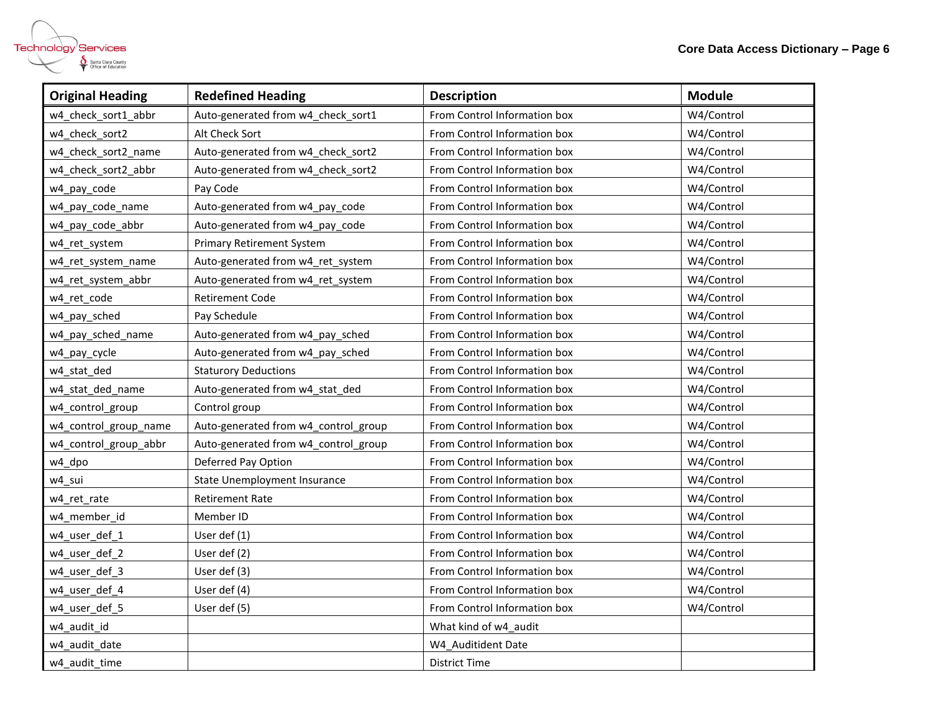

| <b>Original Heading</b> | <b>Redefined Heading</b>             | <b>Description</b>           | <b>Module</b> |
|-------------------------|--------------------------------------|------------------------------|---------------|
| w4 check sort1 abbr     | Auto-generated from w4_check_sort1   | From Control Information box | W4/Control    |
| w4 check sort2          | Alt Check Sort                       | From Control Information box | W4/Control    |
| w4_check_sort2_name     | Auto-generated from w4_check_sort2   | From Control Information box | W4/Control    |
| w4_check_sort2_abbr     | Auto-generated from w4_check_sort2   | From Control Information box | W4/Control    |
| w4_pay_code             | Pay Code                             | From Control Information box | W4/Control    |
| w4_pay_code_name        | Auto-generated from w4_pay_code      | From Control Information box | W4/Control    |
| w4_pay_code_abbr        | Auto-generated from w4_pay_code      | From Control Information box | W4/Control    |
| w4_ret_system           | <b>Primary Retirement System</b>     | From Control Information box | W4/Control    |
| w4_ret_system_name      | Auto-generated from w4_ret_system    | From Control Information box | W4/Control    |
| w4_ret_system_abbr      | Auto-generated from w4_ret_system    | From Control Information box | W4/Control    |
| w4_ret_code             | <b>Retirement Code</b>               | From Control Information box | W4/Control    |
| w4_pay_sched            | Pay Schedule                         | From Control Information box | W4/Control    |
| w4_pay_sched_name       | Auto-generated from w4 pay sched     | From Control Information box | W4/Control    |
| w4_pay_cycle            | Auto-generated from w4_pay_sched     | From Control Information box | W4/Control    |
| w4_stat_ded             | <b>Staturory Deductions</b>          | From Control Information box | W4/Control    |
| w4_stat_ded_name        | Auto-generated from w4_stat_ded      | From Control Information box | W4/Control    |
| w4 control group        | Control group                        | From Control Information box | W4/Control    |
| w4_control_group_name   | Auto-generated from w4_control_group | From Control Information box | W4/Control    |
| w4_control_group_abbr   | Auto-generated from w4_control_group | From Control Information box | W4/Control    |
| w4_dpo                  | Deferred Pay Option                  | From Control Information box | W4/Control    |
| w4 sui                  | State Unemployment Insurance         | From Control Information box | W4/Control    |
| w4_ret_rate             | <b>Retirement Rate</b>               | From Control Information box | W4/Control    |
| w4 member id            | Member ID                            | From Control Information box | W4/Control    |
| w4_user_def_1           | User def (1)                         | From Control Information box | W4/Control    |
| w4_user_def_2           | User def (2)                         | From Control Information box | W4/Control    |
| w4 user def 3           | User def (3)                         | From Control Information box | W4/Control    |
| w4_user_def_4           | User def (4)                         | From Control Information box | W4/Control    |
| w4_user_def_5           | User def (5)                         | From Control Information box | W4/Control    |
| w4 audit id             |                                      | What kind of w4 audit        |               |
| w4_audit_date           |                                      | W4 Auditident Date           |               |
| w4 audit time           |                                      | District Time                |               |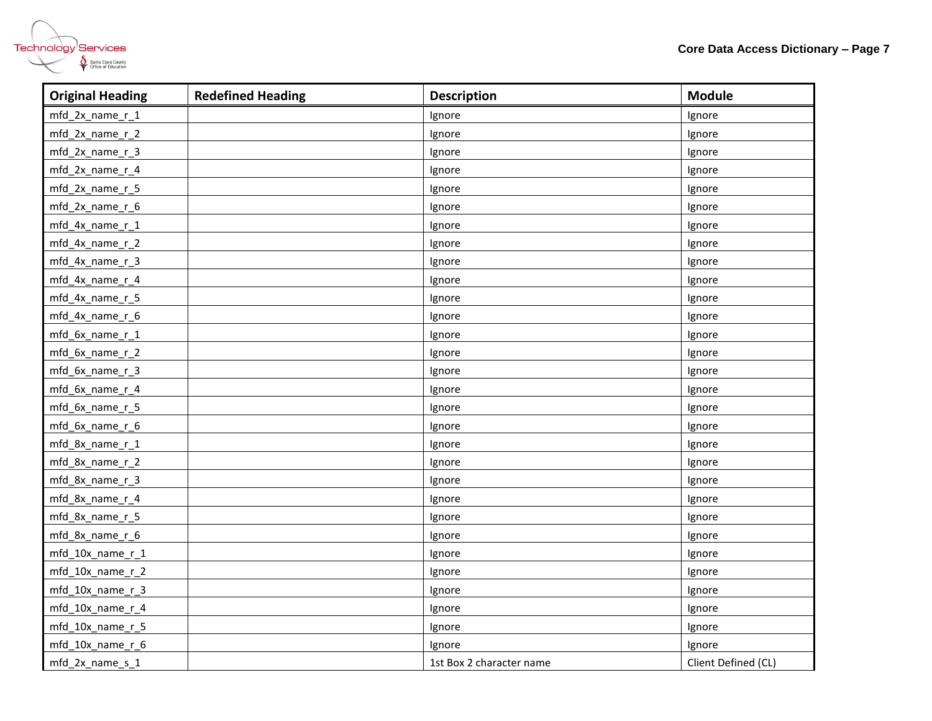

| <b>Original Heading</b> | <b>Redefined Heading</b> | <b>Description</b>       | <b>Module</b>       |
|-------------------------|--------------------------|--------------------------|---------------------|
| mfd_2x_name_r_1         |                          | Ignore                   | Ignore              |
| mfd_2x_name_r_2         |                          | Ignore                   | Ignore              |
| mfd_2x_name_r_3         |                          | Ignore                   | Ignore              |
| mfd_2x_name_r_4         |                          | Ignore                   | Ignore              |
| mfd_2x_name_r_5         |                          | Ignore                   | Ignore              |
| mfd_2x_name_r_6         |                          | Ignore                   | Ignore              |
| mfd_4x_name_r_1         |                          | Ignore                   | Ignore              |
| mfd_4x_name_r_2         |                          | Ignore                   | Ignore              |
| mfd_4x_name_r_3         |                          | Ignore                   | Ignore              |
| mfd_4x_name_r_4         |                          | Ignore                   | Ignore              |
| mfd_4x_name_r_5         |                          | Ignore                   | Ignore              |
| mfd_4x_name_r_6         |                          | Ignore                   | Ignore              |
| mfd_6x_name_r_1         |                          | Ignore                   | Ignore              |
| mfd_6x_name_r_2         |                          | Ignore                   | Ignore              |
| mfd_6x_name_r_3         |                          | Ignore                   | Ignore              |
| mfd_6x_name_r_4         |                          | Ignore                   | Ignore              |
| mfd 6x name r 5         |                          | Ignore                   | Ignore              |
| mfd_6x_name_r_6         |                          | Ignore                   | Ignore              |
| mfd_8x_name_r_1         |                          | Ignore                   | Ignore              |
| mfd_8x_name_r_2         |                          | Ignore                   | Ignore              |
| mfd_8x_name_r_3         |                          | Ignore                   | Ignore              |
| mfd_8x_name_r_4         |                          | Ignore                   | Ignore              |
| mfd 8x name r 5         |                          | Ignore                   | Ignore              |
| mfd_8x_name_r_6         |                          | Ignore                   | Ignore              |
| $mfd_10x_name_r_1$      |                          | Ignore                   | Ignore              |
| mfd_10x_name_r_2        |                          | Ignore                   | Ignore              |
| mfd_10x_name_r_3        |                          | Ignore                   | Ignore              |
| mfd_10x_name_r_4        |                          | Ignore                   | Ignore              |
| mfd_10x_name_r_5        |                          | Ignore                   | Ignore              |
| mfd_10x_name_r_6        |                          | Ignore                   | Ignore              |
| mfd_2x_name_s_1         |                          | 1st Box 2 character name | Client Defined (CL) |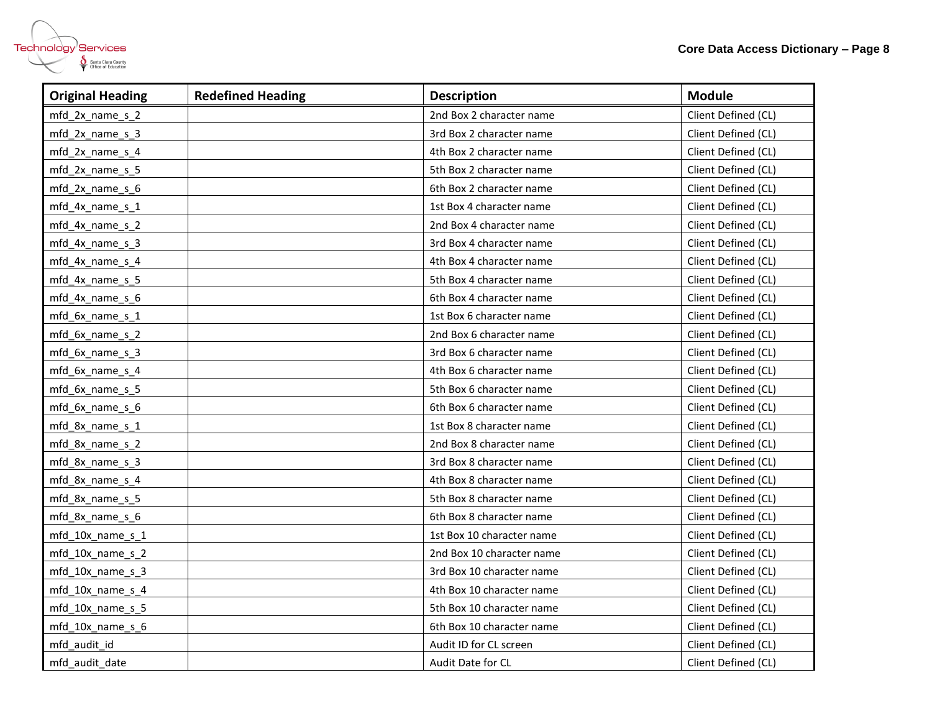

| <b>Original Heading</b> | <b>Redefined Heading</b> | <b>Description</b>        | <b>Module</b>       |
|-------------------------|--------------------------|---------------------------|---------------------|
| mfd_2x_name_s_2         |                          | 2nd Box 2 character name  | Client Defined (CL) |
| mfd_2x_name_s_3         |                          | 3rd Box 2 character name  | Client Defined (CL) |
| mfd_2x_name_s_4         |                          | 4th Box 2 character name  | Client Defined (CL) |
| mfd_2x_name_s_5         |                          | 5th Box 2 character name  | Client Defined (CL) |
| mfd 2x name s 6         |                          | 6th Box 2 character name  | Client Defined (CL) |
| mfd_4x_name_s_1         |                          | 1st Box 4 character name  | Client Defined (CL) |
| mfd_4x_name_s_2         |                          | 2nd Box 4 character name  | Client Defined (CL) |
| mfd_4x_name_s_3         |                          | 3rd Box 4 character name  | Client Defined (CL) |
| mfd_4x_name_s_4         |                          | 4th Box 4 character name  | Client Defined (CL) |
| mfd_4x_name_s_5         |                          | 5th Box 4 character name  | Client Defined (CL) |
| mfd 4x name s 6         |                          | 6th Box 4 character name  | Client Defined (CL) |
| mfd_6x_name_s_1         |                          | 1st Box 6 character name  | Client Defined (CL) |
| mfd_6x_name_s_2         |                          | 2nd Box 6 character name  | Client Defined (CL) |
| mfd_6x_name_s_3         |                          | 3rd Box 6 character name  | Client Defined (CL) |
| mfd_6x_name_s_4         |                          | 4th Box 6 character name  | Client Defined (CL) |
| mfd_6x_name_s_5         |                          | 5th Box 6 character name  | Client Defined (CL) |
| mfd_6x_name_s_6         |                          | 6th Box 6 character name  | Client Defined (CL) |
| mfd_8x_name_s_1         |                          | 1st Box 8 character name  | Client Defined (CL) |
| mfd_8x_name_s_2         |                          | 2nd Box 8 character name  | Client Defined (CL) |
| mfd_8x_name_s_3         |                          | 3rd Box 8 character name  | Client Defined (CL) |
| mfd_8x_name_s_4         |                          | 4th Box 8 character name  | Client Defined (CL) |
| mfd_8x_name_s_5         |                          | 5th Box 8 character name  | Client Defined (CL) |
| mfd_8x_name_s_6         |                          | 6th Box 8 character name  | Client Defined (CL) |
| mfd_10x_name_s_1        |                          | 1st Box 10 character name | Client Defined (CL) |
| mfd_10x_name_s_2        |                          | 2nd Box 10 character name | Client Defined (CL) |
| mfd_10x_name_s_3        |                          | 3rd Box 10 character name | Client Defined (CL) |
| mfd_10x_name_s_4        |                          | 4th Box 10 character name | Client Defined (CL) |
| mfd_10x_name_s_5        |                          | 5th Box 10 character name | Client Defined (CL) |
| mfd 10x name s 6        |                          | 6th Box 10 character name | Client Defined (CL) |
| mfd_audit_id            |                          | Audit ID for CL screen    | Client Defined (CL) |
| mfd audit date          |                          | Audit Date for CL         | Client Defined (CL) |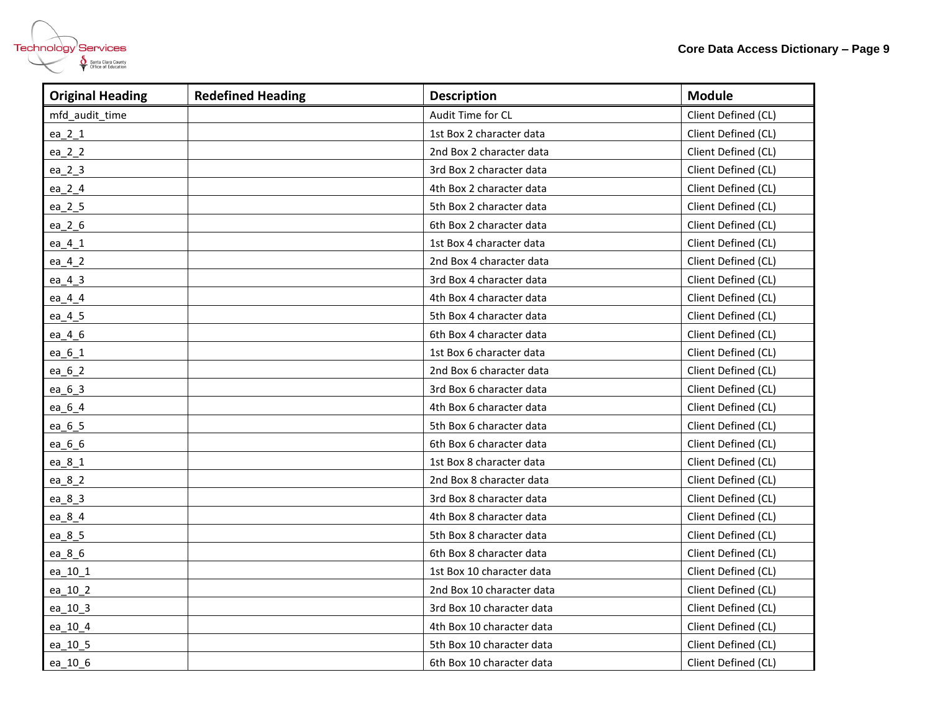

| <b>Original Heading</b> | <b>Redefined Heading</b> | <b>Description</b>        | <b>Module</b>       |
|-------------------------|--------------------------|---------------------------|---------------------|
| mfd_audit_time          |                          | Audit Time for CL         | Client Defined (CL) |
| ea $2_1$                |                          | 1st Box 2 character data  | Client Defined (CL) |
| $ea_2_2$                |                          | 2nd Box 2 character data  | Client Defined (CL) |
| $ea_2_3$                |                          | 3rd Box 2 character data  | Client Defined (CL) |
| ea $24$                 |                          | 4th Box 2 character data  | Client Defined (CL) |
| ea_2_5                  |                          | 5th Box 2 character data  | Client Defined (CL) |
| ea_2_6                  |                          | 6th Box 2 character data  | Client Defined (CL) |
| $ea_4_1$                |                          | 1st Box 4 character data  | Client Defined (CL) |
| ea_4_2                  |                          | 2nd Box 4 character data  | Client Defined (CL) |
| ea_4_3                  |                          | 3rd Box 4 character data  | Client Defined (CL) |
| ea_4_4                  |                          | 4th Box 4 character data  | Client Defined (CL) |
| ea_4_5                  |                          | 5th Box 4 character data  | Client Defined (CL) |
| ea_4_6                  |                          | 6th Box 4 character data  | Client Defined (CL) |
| ea_6_1                  |                          | 1st Box 6 character data  | Client Defined (CL) |
| ea_6_2                  |                          | 2nd Box 6 character data  | Client Defined (CL) |
| ea_6_3                  |                          | 3rd Box 6 character data  | Client Defined (CL) |
| ea_6_4                  |                          | 4th Box 6 character data  | Client Defined (CL) |
| ea_6_5                  |                          | 5th Box 6 character data  | Client Defined (CL) |
| ea_6_6                  |                          | 6th Box 6 character data  | Client Defined (CL) |
| ea_8_1                  |                          | 1st Box 8 character data  | Client Defined (CL) |
| ea_8_2                  |                          | 2nd Box 8 character data  | Client Defined (CL) |
| ea_8_3                  |                          | 3rd Box 8 character data  | Client Defined (CL) |
| ea_8_4                  |                          | 4th Box 8 character data  | Client Defined (CL) |
| ea_8_5                  |                          | 5th Box 8 character data  | Client Defined (CL) |
| ea_8_6                  |                          | 6th Box 8 character data  | Client Defined (CL) |
| ea_10_1                 |                          | 1st Box 10 character data | Client Defined (CL) |
| ea_10_2                 |                          | 2nd Box 10 character data | Client Defined (CL) |
| ea_10_3                 |                          | 3rd Box 10 character data | Client Defined (CL) |
| ea_10_4                 |                          | 4th Box 10 character data | Client Defined (CL) |
| ea_10_5                 |                          | 5th Box 10 character data | Client Defined (CL) |
| ea_10_6                 |                          | 6th Box 10 character data | Client Defined (CL) |